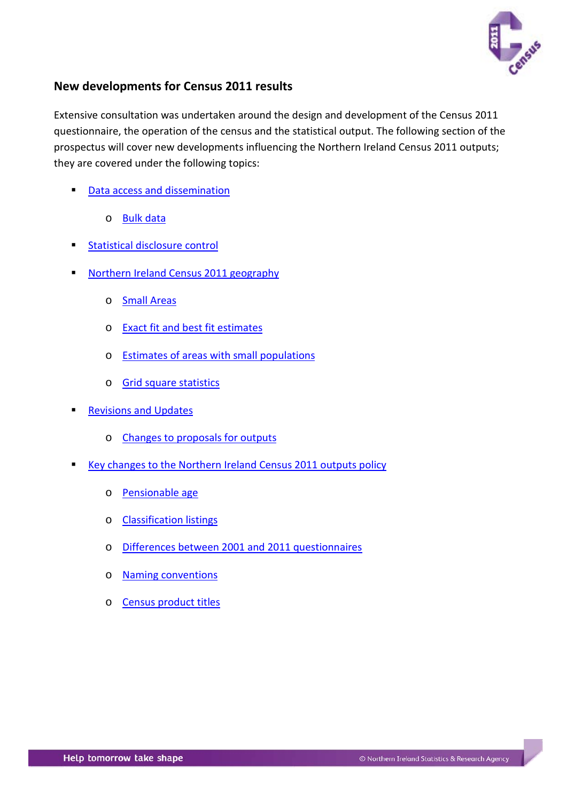

# <span id="page-0-0"></span>**New developments for Census 2011 results**

Extensive consultation was undertaken around the design and development of the Census 2011 questionnaire, the operation of the census and the statistical output. The following section of the prospectus will cover new developments influencing the Northern Ireland Census 2011 outputs; they are covered under the following topics:

- [Data access and dissemination](#page-3-0)
	- o [Bulk data](#page-4-0)
- [Statistical disclosure control](#page-4-1)
- [Northern Ireland Census 2011 geography](#page-6-0)
	- o [Small Areas](#page-7-0)
	- o [Exact fit and best fit estimates](#page-8-0)
	- o [Estimates of areas with small populations](#page-8-1)
	- o [Grid square statistics](#page-9-0)
- [Revisions and Updates](#page-10-0)
	- o [Changes to proposals for outputs](#page-10-1)
- Key changes [to the Northern Ireland Census 2011 outputs policy](#page-11-0)
	- o [Pensionable age](#page-11-1)
	- o [Classification listings](#page-12-0)
	- o [Differences between 2001 and 2011 questionnaires](#page-12-1)
	- o [Naming conventions](#page-13-0)
	- o [Census product titles](#page-13-1)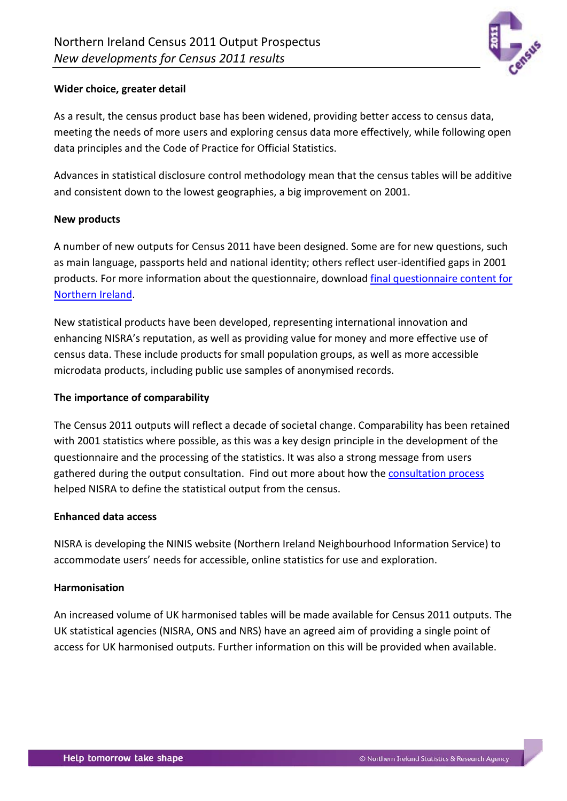

### **Wider choice, greater detail**

As a result, the census product base has been widened, providing better access to census data, meeting the needs of more users and exploring census data more effectively, while following open data principles and the Code of Practice for Official Statistics.

Advances in statistical disclosure control methodology mean that the census tables will be additive and consistent down to the lowest geographies, a big improvement on 2001.

### **New products**

A number of new outputs for Census 2011 have been designed. Some are for new questions, such as main language, passports held and national identity; others reflect user-identified gaps in 2001 products. For more information about the questionnaire, download [final questionnaire content for](http://www.nisra.gov.uk/census/2011/background/questionnaires.html)  [Northern Ireland.](http://www.nisra.gov.uk/census/2011/background/questionnaires.html)

New statistical products have been developed, representing international innovation and enhancing NISRA's reputation, as well as providing value for money and more effective use of census data. These include products for small population groups, as well as more accessible microdata products, including public use samples of anonymised records.

### **The importance of comparability**

The Census 2011 outputs will reflect a decade of societal change. Comparability has been retained with 2001 statistics where possible, as this was a key design principle in the development of the questionnaire and the processing of the statistics. It was also a strong message from users gathered during the output consultation. Find out more about how the [consultation process](http://www.nisra.gov.uk/census/2011/background/events.html) helped NISRA to define the statistical output from the census.

#### **Enhanced data access**

NISRA is developing the NINIS website (Northern Ireland Neighbourhood Information Service) to accommodate users' needs for accessible, online statistics for use and exploration.

#### **Harmonisation**

An increased volume of UK harmonised tables will be made available for Census 2011 outputs. The UK statistical agencies (NISRA, ONS and NRS) have an agreed aim of providing a single point of access for UK harmonised outputs. Further information on this will be provided when available.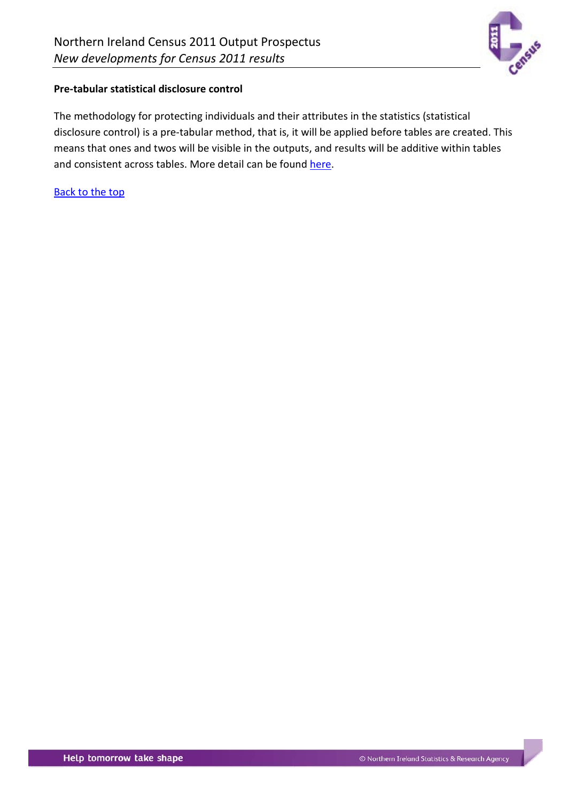

## **Pre-tabular statistical disclosure control**

The methodology for protecting individuals and their attributes in the statistics (statistical disclosure control) is a pre-tabular method, that is, it will be applied before tables are created. This means that ones and twos will be visible in the outputs, and results will be additive within tables and consistent across tables. More detail can be found [here.](http://www.ons.gov.uk/ons/guide-method/census/2011/census-data/2011-census-prospectus/new-developments-for-2011-census-results/statistical-disclosure-control/index.html)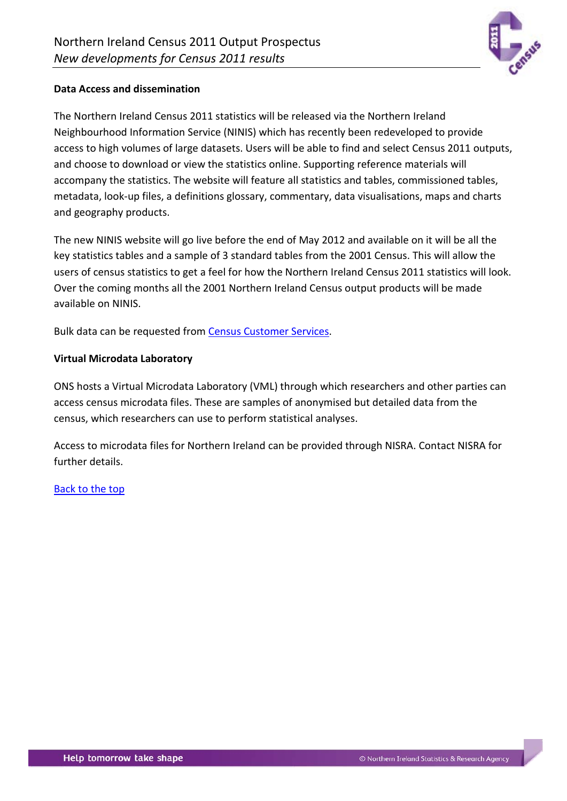

### <span id="page-3-0"></span>**Data Access and dissemination**

The Northern Ireland Census 2011 statistics will be released via the Northern Ireland Neighbourhood Information Service (NINIS) which has recently been redeveloped to provide access to high volumes of large datasets. Users will be able to find and select Census 2011 outputs, and choose to download or view the statistics online. Supporting reference materials will accompany the statistics. The website will feature all statistics and tables, commissioned tables, metadata, look-up files, a definitions glossary, commentary, data visualisations, maps and charts and geography products.

The new NINIS website will go live before the end of May 2012 and available on it will be all the key statistics tables and a sample of 3 standard tables from the 2001 Census. This will allow the users of census statistics to get a feel for how the Northern Ireland Census 2011 statistics will look. Over the coming months all the 2001 Northern Ireland Census output products will be made available on NINIS.

Bulk data can be requested fro[m Census Customer Services.](http://www.nisra.gov.uk/census/contact-us.html)

### **Virtual Microdata Laboratory**

ONS hosts a Virtual Microdata Laboratory (VML) through which researchers and other parties can access census microdata files. These are samples of anonymised but detailed data from the census, which researchers can use to perform statistical analyses.

Access to microdata files for Northern Ireland can be provided through NISRA. Contact NISRA for further details.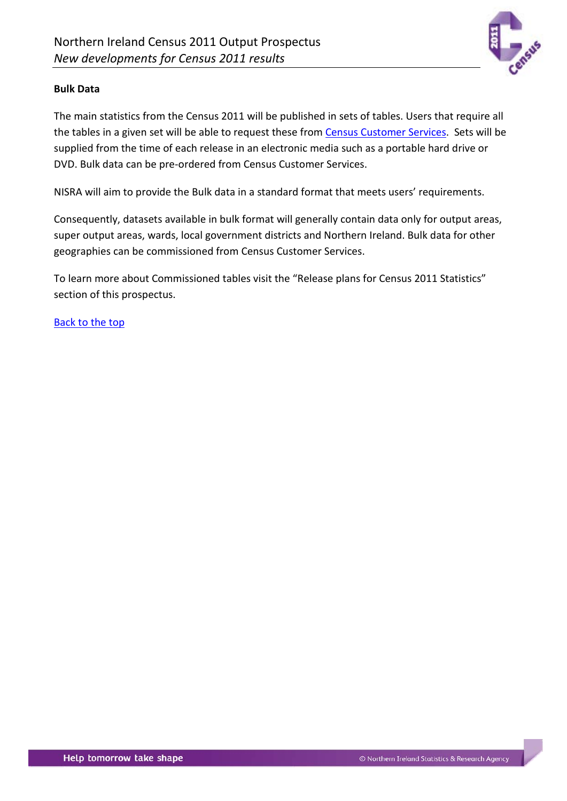

### <span id="page-4-0"></span>**Bulk Data**

The main statistics from the Census 2011 will be published in sets of tables. Users that require all the tables in a given set will be able to request these from [Census Customer Services.](http://www.nisra.gov.uk/census/contact-us.html) Sets will be supplied from the time of each release in an electronic media such as a portable hard drive or DVD. Bulk data can be pre-ordered from Census Customer Services.

NISRA will aim to provide the Bulk data in a standard format that meets users' requirements.

Consequently, datasets available in bulk format will generally contain data only for output areas, super output areas, wards, local government districts and Northern Ireland. Bulk data for other geographies can be commissioned from Census Customer Services.

<span id="page-4-1"></span>To learn more about Commissioned tables visit the "Release plans for Census 2011 Statistics" section of this prospectus.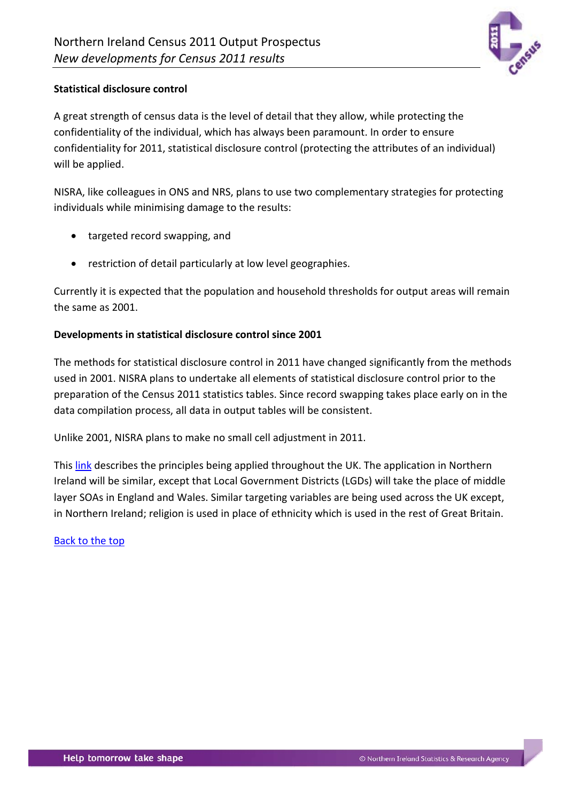

## **Statistical disclosure control**

A great strength of census data is the level of detail that they allow, while protecting the confidentiality of the individual, which has always been paramount. In order to ensure confidentiality for 2011, statistical disclosure control (protecting the attributes of an individual) will be applied.

NISRA, like colleagues in ONS and NRS, plans to use two complementary strategies for protecting individuals while minimising damage to the results:

- targeted record swapping, and
- restriction of detail particularly at low level geographies.

Currently it is expected that the population and household thresholds for output areas will remain the same as 2001.

### **Developments in statistical disclosure control since 2001**

The methods for statistical disclosure control in 2011 have changed significantly from the methods used in 2001. NISRA plans to undertake all elements of statistical disclosure control prior to the preparation of the Census 2011 statistics tables. Since record swapping takes place early on in the data compilation process, all data in output tables will be consistent.

Unlike 2001, NISRA plans to make no small cell adjustment in 2011.

This [link](http://www.ons.gov.uk/ons/guide-method/census/2011/census-data/2011-census-prospectus/new-developments-for-2011-census-results/statistical-disclosure-control/index.html) describes the principles being applied throughout the UK. The application in Northern Ireland will be similar, except that Local Government Districts (LGDs) will take the place of middle layer SOAs in England and Wales. Similar targeting variables are being used across the UK except, in Northern Ireland; religion is used in place of ethnicity which is used in the rest of Great Britain.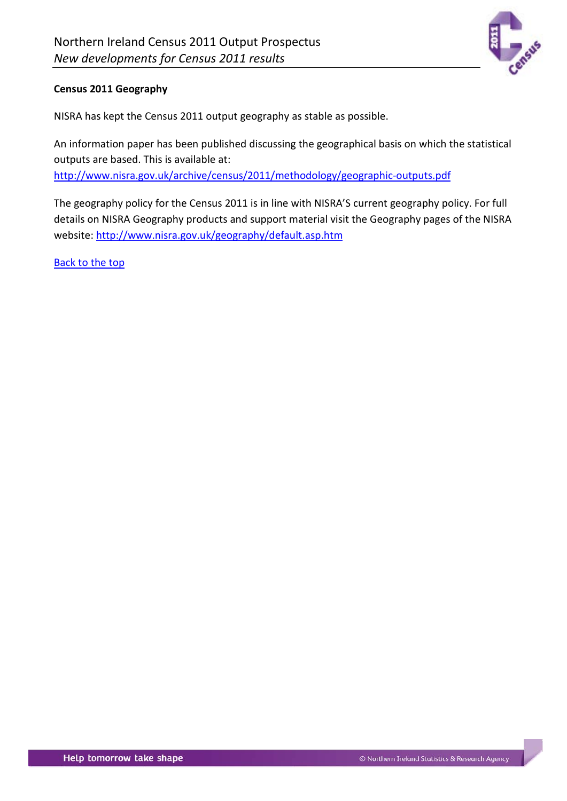

## <span id="page-6-0"></span>**Census 2011 Geography**

NISRA has kept the Census 2011 output geography as stable as possible.

An information paper has been published discussing the geographical basis on which the statistical outputs are based. This is available at:

<http://www.nisra.gov.uk/archive/census/2011/methodology/geographic-outputs.pdf>

The geography policy for the Census 2011 is in line with NISRA'S current geography policy. For full details on NISRA Geography products and support material visit the Geography pages of the NISRA website:<http://www.nisra.gov.uk/geography/default.asp.htm>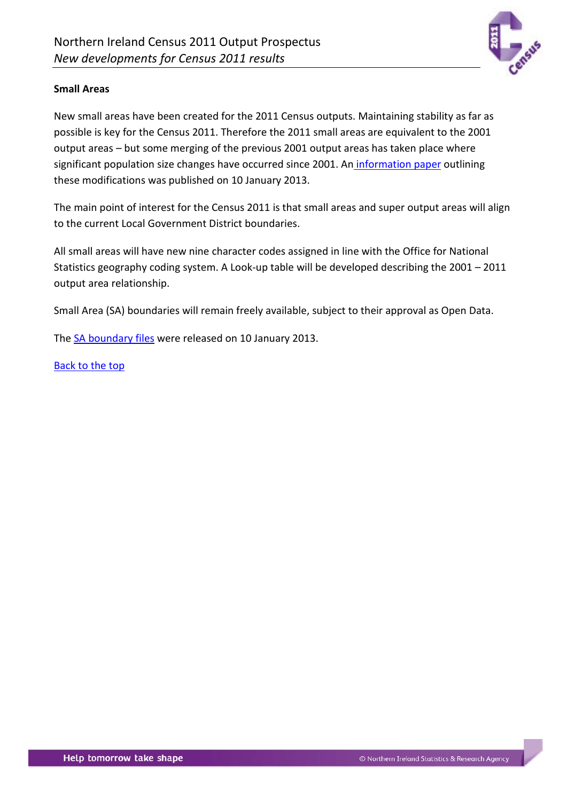

## <span id="page-7-0"></span>**Small Areas**

New small areas have been created for the 2011 Census outputs. Maintaining stability as far as possible is key for the Census 2011. Therefore the 2011 small areas are equivalent to the 2001 output areas – but some merging of the previous 2001 output areas has taken place where significant population size changes have occurred since 2001. An [information](http://www.nisra.gov.uk/geography/SmallAreas.htm) paper outlining these modifications was published on 10 January 2013.

The main point of interest for the Census 2011 is that small areas and super output areas will align to the current Local Government District boundaries.

All small areas will have new nine character codes assigned in line with the Office for National Statistics geography coding system. A Look-up table will be developed describing the 2001 – 2011 output area relationship.

Small Area (SA) boundaries will remain freely available, subject to their approval as Open Data.

The [SA boundary files](http://www.nisra.gov.uk/geography/SmallAreas.htm) were released on 10 January 2013.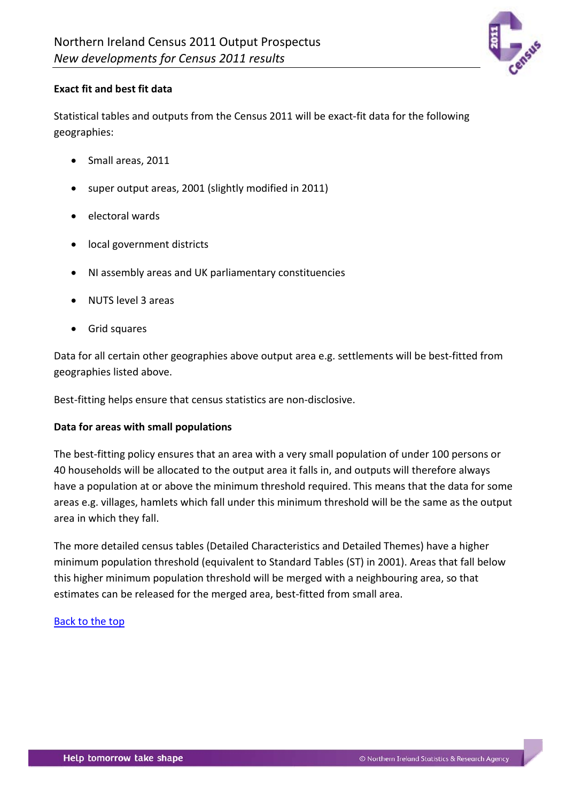

## <span id="page-8-0"></span>**Exact fit and best fit data**

Statistical tables and outputs from the Census 2011 will be exact-fit data for the following geographies:

- Small areas, 2011
- super output areas, 2001 (slightly modified in 2011)
- electoral wards
- local government districts
- NI assembly areas and UK parliamentary constituencies
- NUTS level 3 areas
- Grid squares

Data for all certain other geographies above output area e.g. settlements will be best-fitted from geographies listed above.

Best-fitting helps ensure that census statistics are non-disclosive.

### <span id="page-8-1"></span>**Data for areas with small populations**

The best-fitting policy ensures that an area with a very small population of under 100 persons or 40 households will be allocated to the output area it falls in, and outputs will therefore always have a population at or above the minimum threshold required. This means that the data for some areas e.g. villages, hamlets which fall under this minimum threshold will be the same as the output area in which they fall.

The more detailed census tables (Detailed Characteristics and Detailed Themes) have a higher minimum population threshold (equivalent to Standard Tables (ST) in 2001). Areas that fall below this higher minimum population threshold will be merged with a neighbouring area, so that estimates can be released for the merged area, best-fitted from small area.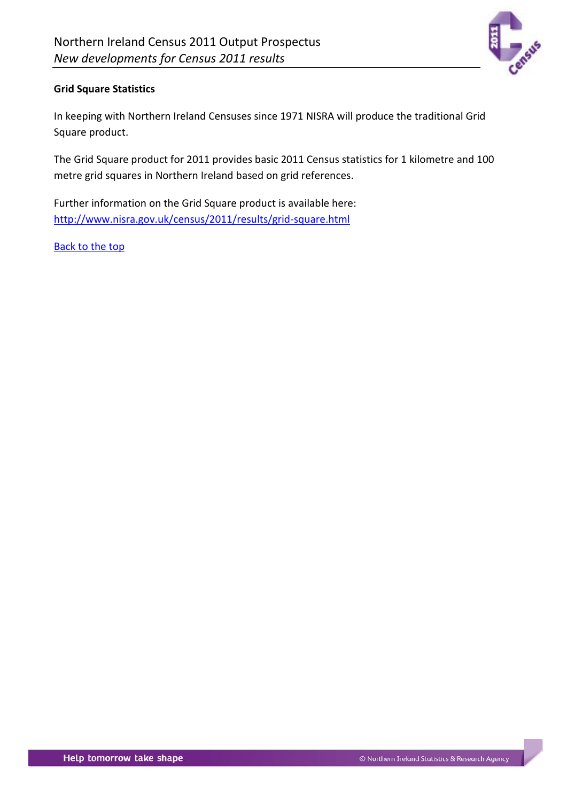

## <span id="page-9-0"></span>**Grid Square Statistics**

In keeping with Northern Ireland Censuses since 1971 NISRA will produce the traditional Grid Square product.

The Grid Square product for 2011 provides basic 2011 Census statistics for 1 kilometre and 100 metre grid squares in Northern Ireland based on grid references.

Further information on the Grid Square product is available here: <http://www.nisra.gov.uk/census/2011/results/grid-square.html>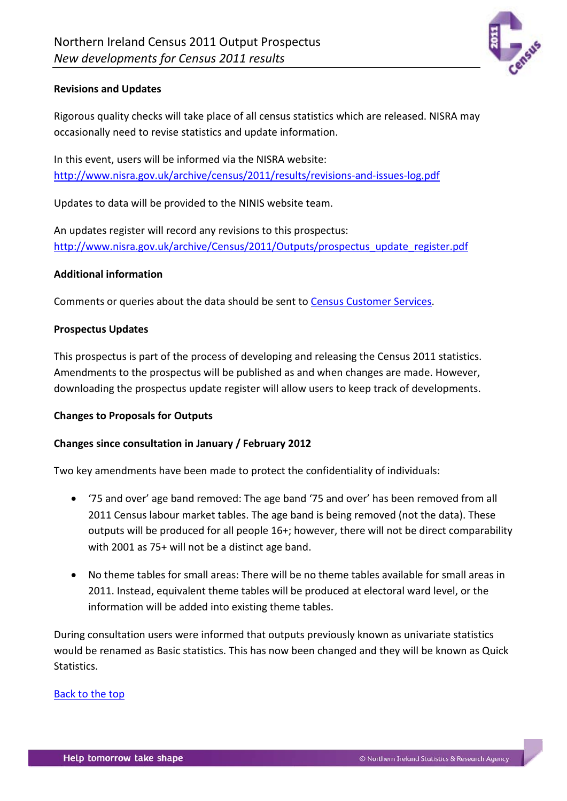

### <span id="page-10-0"></span>**Revisions and Updates**

Rigorous quality checks will take place of all census statistics which are released. NISRA may occasionally need to revise statistics and update information.

In this event, users will be informed via the NISRA website: <http://www.nisra.gov.uk/archive/census/2011/results/revisions-and-issues-log.pdf>

Updates to data will be provided to the NINIS website team.

An updates register will record any revisions to this prospectus: [http://www.nisra.gov.uk/archive/Census/2011/Outputs/prospectus\\_update\\_register.pdf](http://www.nisra.gov.uk/archive/Census/2011/Outputs/prospectus_update_register.pdf)

#### **Additional information**

Comments or queries about the data should be sent to [Census Customer Services.](http://www.nisra.gov.uk/census/contact-us.html)

### **Prospectus Updates**

This prospectus is part of the process of developing and releasing the Census 2011 statistics. Amendments to the prospectus will be published as and when changes are made. However, downloading the prospectus update register will allow users to keep track of developments.

#### <span id="page-10-1"></span>**Changes to Proposals for Outputs**

### **Changes since consultation in January / February 2012**

Two key amendments have been made to protect the confidentiality of individuals:

- '75 and over' age band removed: The age band '75 and over' has been removed from all 2011 Census labour market tables. The age band is being removed (not the data). These outputs will be produced for all people 16+; however, there will not be direct comparability with 2001 as 75+ will not be a distinct age band.
- No theme tables for small areas: There will be no theme tables available for small areas in 2011. Instead, equivalent theme tables will be produced at electoral ward level, or the information will be added into existing theme tables.

During consultation users were informed that outputs previously known as univariate statistics would be renamed as Basic statistics. This has now been changed and they will be known as Quick Statistics.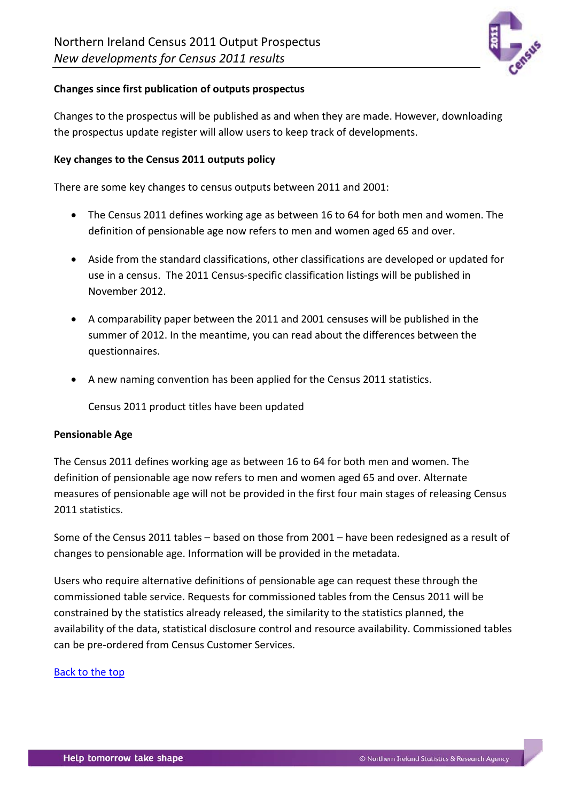

### **Changes since first publication of outputs prospectus**

Changes to the prospectus will be published as and when they are made. However, downloading the prospectus update register will allow users to keep track of developments.

### <span id="page-11-0"></span>**Key changes to the Census 2011 outputs policy**

There are some key changes to census outputs between 2011 and 2001:

- The Census 2011 defines working age as between 16 to 64 for both men and women. The definition of pensionable age now refers to men and women aged 65 and over.
- Aside from the standard classifications, other classifications are developed or updated for use in a census. The 2011 Census-specific classification listings will be published in November 2012.
- A comparability paper between the 2011 and 2001 censuses will be published in the summer of 2012. In the meantime, you can read about the differences between the questionnaires.
- A new naming convention has been applied for the Census 2011 statistics.

Census 2011 product titles have been updated

#### <span id="page-11-1"></span>**Pensionable Age**

The Census 2011 defines working age as between 16 to 64 for both men and women. The definition of pensionable age now refers to men and women aged 65 and over. Alternate measures of pensionable age will not be provided in the first four main stages of releasing Census 2011 statistics.

Some of the Census 2011 tables – based on those from 2001 – have been redesigned as a result of changes to pensionable age. Information will be provided in the metadata.

Users who require alternative definitions of pensionable age can request these through the commissioned table service. Requests for commissioned tables from the Census 2011 will be constrained by the statistics already released, the similarity to the statistics planned, the availability of the data, statistical disclosure control and resource availability. Commissioned tables can be pre-ordered from Census Customer Services.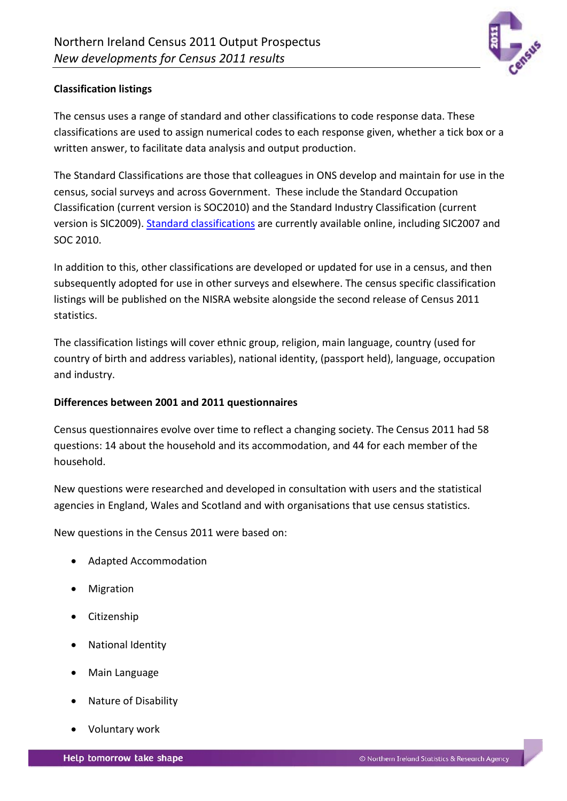

## <span id="page-12-0"></span>**Classification listings**

The census uses a range of standard and other classifications to code response data. These classifications are used to assign numerical codes to each response given, whether a tick box or a written answer, to facilitate data analysis and output production.

The Standard Classifications are those that colleagues in ONS develop and maintain for use in the census, social surveys and across Government. These include the Standard Occupation Classification (current version is SOC2010) and the Standard Industry Classification (current version is SIC2009). [Standard classifications](http://www.ons.gov.uk/ons/guide-method/classifications/current-standard-classifications/index.html) are currently available online, including SIC2007 and SOC 2010.

In addition to this, other classifications are developed or updated for use in a census, and then subsequently adopted for use in other surveys and elsewhere. The census specific classification listings will be published on the NISRA website alongside the second release of Census 2011 statistics.

The classification listings will cover ethnic group, religion, main language, country (used for country of birth and address variables), national identity, (passport held), language, occupation and industry.

### <span id="page-12-1"></span>**Differences between 2001 and 2011 questionnaires**

Census questionnaires evolve over time to reflect a changing society. The Census 2011 had 58 questions: 14 about the household and its accommodation, and 44 for each member of the household.

New questions were researched and developed in consultation with users and the statistical agencies in England, Wales and Scotland and with organisations that use census statistics.

New questions in the Census 2011 were based on:

- Adapted Accommodation
- **Migration**
- Citizenship
- National Identity
- Main Language
- Nature of Disability
- Voluntary work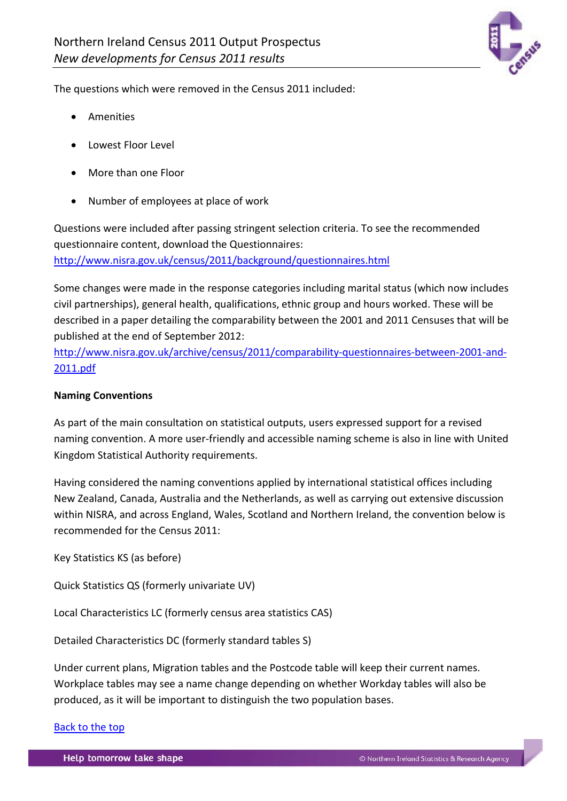

The questions which were removed in the Census 2011 included:

- Amenities
- Lowest Floor Level
- More than one Floor
- Number of employees at place of work

Questions were included after passing stringent selection criteria. To see the recommended questionnaire content, download the Questionnaires: <http://www.nisra.gov.uk/census/2011/background/questionnaires.html>

Some changes were made in the response categories including marital status (which now includes civil partnerships), general health, qualifications, ethnic group and hours worked. These will be described in a paper detailing the comparability between the 2001 and 2011 Censuses that will be published at the end of September 2012:

[http://www.nisra.gov.uk/archive/census/2011/comparability-questionnaires-between-2001-and-](http://www.nisra.gov.uk/archive/census/2011/comparability-questionnaires-between-2001-and-2011.pdf)[2011.pdf](http://www.nisra.gov.uk/archive/census/2011/comparability-questionnaires-between-2001-and-2011.pdf)

## <span id="page-13-0"></span>**Naming Conventions**

As part of the main consultation on statistical outputs, users expressed support for a revised naming convention. A more user-friendly and accessible naming scheme is also in line with United Kingdom Statistical Authority requirements.

Having considered the naming conventions applied by international statistical offices including New Zealand, Canada, Australia and the Netherlands, as well as carrying out extensive discussion within NISRA, and across England, Wales, Scotland and Northern Ireland, the convention below is recommended for the Census 2011:

Key Statistics KS (as before)

Quick Statistics QS (formerly univariate UV)

Local Characteristics LC (formerly census area statistics CAS)

Detailed Characteristics DC (formerly standard tables S)

<span id="page-13-1"></span>Under current plans, Migration tables and the Postcode table will keep their current names. Workplace tables may see a name change depending on whether Workday tables will also be produced, as it will be important to distinguish the two population bases.